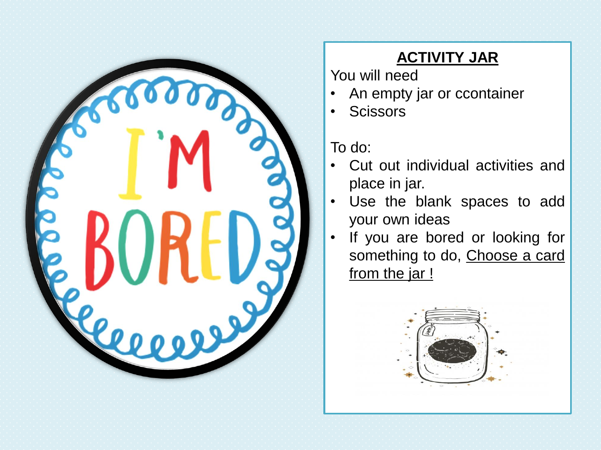

## **ACTIVITY JAR**

You will need

- An empty jar or ccontainer
- Scissors

To do:

- Cut out individual activities and place in jar.
- Use the blank spaces to add your own ideas
- If you are bored or looking for something to do, Choose a card from the jar !

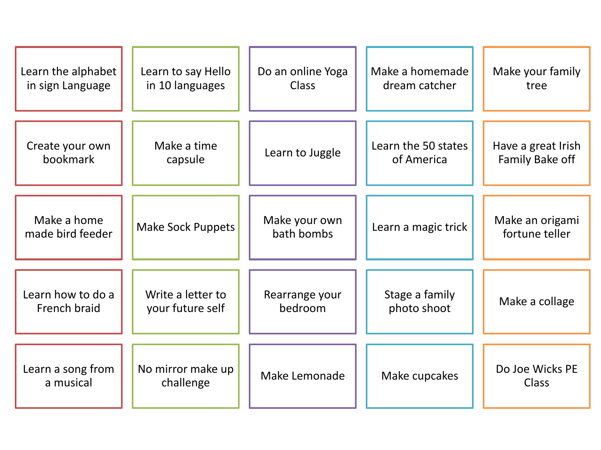| Learn the alphabet              | Learn to say Hello             | Do an online Yoga           | Make a homemade     | Make your family                  |
|---------------------------------|--------------------------------|-----------------------------|---------------------|-----------------------------------|
| in sign Language                | in 10 languages                | <b>Class</b>                | dream catcher       | tree                              |
| Create your own                 | Make a time                    | Learn to Juggle             | Learn the 50 states | Have a great Irish                |
| bookmark                        | capsule                        |                             | of America          | Family Bake off                   |
| Make a home<br>made bird feeder | <b>Make Sock Puppets</b>       | Make your own<br>bath bombs | Learn a magic trick | Make an origami<br>fortune teller |
| Learn how to do a               | Write a letter to              | Rearrange your              | Stage a family      | Make a collage                    |
| French braid                    | your future self               | bedroom                     | photo shoot         |                                   |
| Learn a song from<br>a musical  | No mirror make up<br>challenge | Make Lemonade               | Make cupcakes       | Do Joe Wicks PE<br>Class          |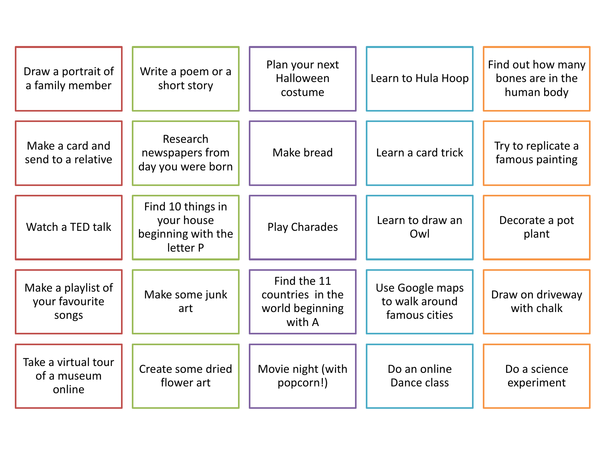| Draw a portrait of<br>a family member         | Write a poem or a<br>short story                                  | Plan your next<br>Halloween<br>costume                       | Learn to Hula Hoop                                 | Find out how many<br>bones are in the<br>human body |
|-----------------------------------------------|-------------------------------------------------------------------|--------------------------------------------------------------|----------------------------------------------------|-----------------------------------------------------|
| Make a card and<br>send to a relative         | Research<br>newspapers from<br>day you were born                  | Make bread                                                   | Learn a card trick                                 | Try to replicate a<br>famous painting               |
| Watch a TED talk                              | Find 10 things in<br>your house<br>beginning with the<br>letter P | <b>Play Charades</b>                                         | Learn to draw an<br>Owl                            | Decorate a pot<br>plant                             |
| Make a playlist of<br>your favourite<br>songs | Make some junk<br>art                                             | Find the 11<br>countries in the<br>world beginning<br>with A | Use Google maps<br>to walk around<br>famous cities | Draw on driveway<br>with chalk                      |
| Take a virtual tour<br>of a museum<br>online  | Create some dried<br>flower art                                   | Movie night (with<br>popcorn!)                               | Do an online<br>Dance class                        | Do a science<br>experiment                          |